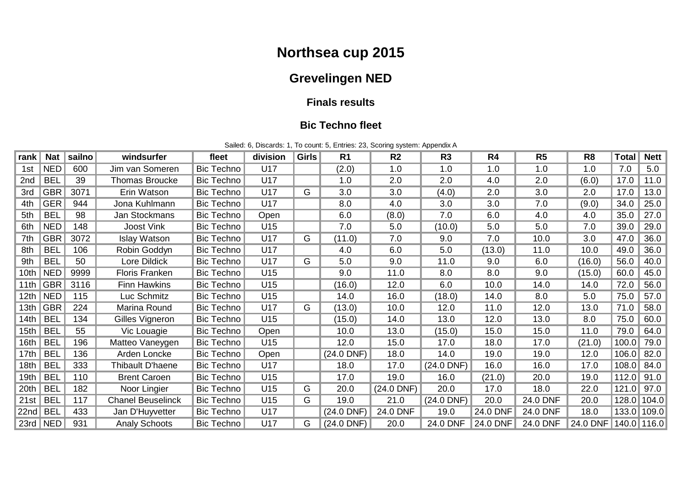# **Northsea cup 2015**

## **Grevelingen NED**

#### **Finals results**

#### **Bic Techno fleet**

Sailed: 6, Discards: 1, To count: 5, Entries: 23, Scoring system: Appendix A

| rank | <b>Nat</b>    | sailno | windsurfer               | fleet             | division | <b>Girls</b> | R <sub>1</sub> | R <sub>2</sub> | R <sub>3</sub> | R <sub>4</sub> | R <sub>5</sub> | R <sub>8</sub>       | <b>Total</b> | <b>Nett</b> |
|------|---------------|--------|--------------------------|-------------------|----------|--------------|----------------|----------------|----------------|----------------|----------------|----------------------|--------------|-------------|
| 1st  | <b>NED</b>    | 600    | Jim van Someren          | <b>Bic Techno</b> | U17      |              | (2.0)          | 1.0            | 1.0            | 1.0            | 1.0            | 1.0                  | 7.0          | 5.0         |
| 2nd  | <b>BEL</b>    | 39     | Thomas Broucke           | Bic Techno        | U17      |              | 1.0            | 2.0            | 2.0            | 4.0            | 2.0            | (6.0)                | 17.0         | 11.0        |
| 3rd  | <b>GBR</b>    | 3071   | Erin Watson              | Bic Techno        | U17      | G            | 3.0            | 3.0            | (4.0)          | 2.0            | 3.0            | 2.0                  | 17.0         | 13.0        |
| 4th  | <b>GER</b>    | 944    | Jona Kuhlmann            | Bic Techno        | U17      |              | 8.0            | 4.0            | 3.0            | 3.0            | 7.0            | (9.0)                | 34.0         | 25.0        |
| 5th  | <b>BEL</b>    | 98     | Jan Stockmans            | <b>Bic Techno</b> | Open     |              | 6.0            | (8.0)          | 7.0            | 6.0            | 4.0            | 4.0                  | 35.0         | 27.0        |
| 6th  | <b>NED</b>    | 148    | <b>Joost Vink</b>        | Bic Techno        | U15      |              | 7.0            | 5.0            | (10.0)         | 5.0            | 5.0            | 7.0                  | 39.0         | 29.0        |
| 7th  | <b>GBR</b>    | 3072   | <b>Islay Watson</b>      | Bic Techno        | U17      | G            | (11.0)         | 7.0            | 9.0            | 7.0            | 10.0           | 3.0                  | 47.0         | 36.0        |
| 8th  | <b>BEL</b>    | 106    | Robin Goddyn             | Bic Techno        | U17      |              | 4.0            | 6.0            | 5.0            | (13.0)         | 11.0           | 10.0                 | 49.0         | 36.0        |
| 9th  | <b>BEL</b>    | 50     | Lore Dildick             | Bic Techno        | U17      | G            | 5.0            | 9.0            | 11.0           | 9.0            | 6.0            | (16.0)               | 56.0         | 40.0        |
| 10th | <b>NED</b>    | 9999   | <b>Floris Franken</b>    | <b>Bic Techno</b> | U15      |              | 9.0            | 11.0           | 8.0            | 8.0            | 9.0            | (15.0)               | 60.0         | 45.0        |
| 11th | <b>GBR</b>    | 3116   | <b>Finn Hawkins</b>      | <b>Bic Techno</b> | U15      |              | (16.0)         | 12.0           | 6.0            | 10.0           | 14.0           | 14.0                 | 72.0         | 56.0        |
| 12th | NED           | 115    | Luc Schmitz              | <b>Bic Techno</b> | U15      |              | 14.0           | 16.0           | (18.0)         | 14.0           | 8.0            | 5.0                  | 75.0         | 57.0        |
| 13th | <b>GBR</b>    | 224    | Marina Round             | Bic Techno        | U17      | G            | (13.0)         | 10.0           | 12.0           | 11.0           | 12.0           | 13.0                 | 71.0         | 58.0        |
| 14th | <b>BEL</b>    | 134    | Gilles Vigneron          | Bic Techno        | U15      |              | (15.0)         | 14.0           | 13.0           | 12.0           | 13.0           | 8.0                  | 75.0         | 60.0        |
| 15th | <b>BEL</b>    | 55     | Vic Louagie              | Bic Techno        | Open     |              | 10.0           | 13.0           | (15.0)         | 15.0           | 15.0           | 11.0                 | 79.0         | 64.0        |
| 16th | <b>BEL</b>    | 196    | Matteo Vaneygen          | Bic Techno        | U15      |              | 12.0           | 15.0           | 17.0           | 18.0           | 17.0           | (21.0)               | 100.0        | 79.0        |
| 17th | <b>BEL</b>    | 136    | Arden Loncke             | Bic Techno        | Open     |              | $(24.0$ DNF)   | 18.0           | 14.0           | 19.0           | 19.0           | 12.0                 | 106.0        | 82.0        |
| 18th | <b>BEL</b>    | 333    | Thibault D'haene         | Bic Techno        | U17      |              | 18.0           | 17.0           | $(24.0$ DNF)   | 16.0           | 16.0           | 17.0                 | 108.0        | 84.0        |
| 19th | <b>BEL</b>    | 110    | <b>Brent Caroen</b>      | Bic Techno        | U15      |              | 17.0           | 19.0           | 16.0           | (21.0)         | 20.0           | 19.0                 | 112.0        | 91.0        |
| 20th | <b>BEL</b>    | 182    | Noor Lingier             | Bic Techno        | U15      | G            | 20.0           | $(24.0$ DNF)   | 20.0           | 17.0           | 18.0           | 22.0                 | 121.0        | 97.0        |
| 21st | <b>BEL</b>    | 117    | <b>Chanel Beuselinck</b> | <b>Bic Techno</b> | U15      | G            | 19.0           | 21.0           | $(24.0$ DNF)   | 20.0           | 24.0 DNF       | 20.0                 | 128.0 104.0  |             |
| 22nd | <b>BEL</b>    | 433    | Jan D'Huyvetter          | Bic Techno        | U17      |              | $(24.0$ DNF)   | 24.0 DNF       | 19.0           | 24.0 DNF       | 24.0 DNF       | 18.0                 | 133.0 109.0  |             |
|      | $23rd \,$ NED | 931    | <b>Analy Schoots</b>     | Bic Techno        | U17      | G            | $(24.0$ DNF)   | 20.0           | 24.0 DNF       | 24.0 DNF       | 24.0 DNF       | 24.0 DNF 140.0 116.0 |              |             |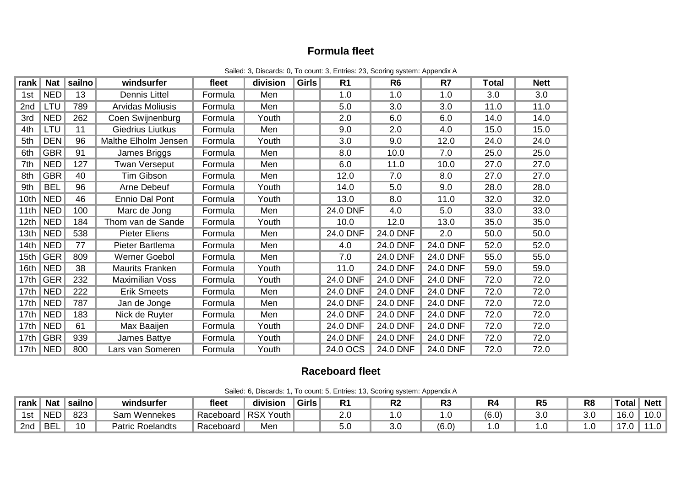## **Formula fleet**

| rank             | <b>Nat</b>           | sailno | windsurfer              | fleet   | division | <b>Girls</b> | R <sub>1</sub> | R <sub>6</sub>  | R7       | <b>Total</b> | <b>Nett</b> |
|------------------|----------------------|--------|-------------------------|---------|----------|--------------|----------------|-----------------|----------|--------------|-------------|
| 1st              | <b>NED</b>           | 13     | <b>Dennis Littel</b>    | Formula | Men      |              | 1.0            | 1.0             | 1.0      | 3.0          | 3.0         |
| 2nd              | LTU                  | 789    | Arvidas Moliusis        | Formula | Men      |              | 5.0            | 3.0             | 3.0      | 11.0         | 11.0        |
| 3rd              | <b>NED</b>           | 262    | Coen Swijnenburg        | Formula | Youth    |              | 2.0            | 6.0             | 6.0      | 14.0         | 14.0        |
| 4th              | LTU                  | 11     | <b>Giedrius Liutkus</b> | Formula | Men      |              | 9.0            | 2.0             | 4.0      | 15.0         | 15.0        |
| 5th              | <b>DEN</b>           | 96     | Malthe Elholm Jensen    | Formula | Youth    |              | 3.0            | 9.0             | 12.0     | 24.0         | 24.0        |
| 6th              | <b>GBR</b>           | 91     | James Briggs            | Formula | Men      |              | 8.0            | 10.0            | 7.0      | 25.0         | 25.0        |
| 7th              | <b>NED</b>           | 127    | <b>Twan Verseput</b>    | Formula | Men      |              | 6.0            | 11.0            | 10.0     | 27.0         | 27.0        |
| 8th              | <b>GBR</b>           | 40     | Tim Gibson              | Formula | Men      |              | 12.0           | 7.0             | 8.0      | 27.0         | 27.0        |
| 9th              | <b>BEL</b>           | 96     | Arne Debeuf             | Formula | Youth    |              | 14.0           | 5.0             | 9.0      | 28.0         | 28.0        |
| 10th             | <b>NED</b>           | 46     | Ennio Dal Pont          | Formula | Youth    |              | 13.0           | 8.0             | 11.0     | 32.0         | 32.0        |
| 11th             | <b>NED</b>           | 100    | Marc de Jong            | Formula | Men      |              | 24.0 DNF       | 4.0             | 5.0      | 33.0         | 33.0        |
| 12 <sub>th</sub> | <b>NED</b>           | 184    | Thom van de Sande       | Formula | Youth    |              | 10.0           | 12.0            | 13.0     | 35.0         | 35.0        |
| 13th             | <b>NED</b>           | 538    | <b>Pieter Eliens</b>    | Formula | Men      |              | 24.0 DNF       | 24.0 DNF        | 2.0      | 50.0         | 50.0        |
| 14th             | <b>NED</b>           | 77     | Pieter Bartlema         | Formula | Men      |              | 4.0            | 24.0 DNF        | 24.0 DNF | 52.0         | 52.0        |
| 15th             | <b>GER</b>           | 809    | Werner Goebol           | Formula | Men      |              | 7.0            | 24.0 DNF        | 24.0 DNF | 55.0         | 55.0        |
| 16th             | <b>NED</b>           | 38     | <b>Maurits Franken</b>  | Formula | Youth    |              | 11.0           | 24.0 DNF        | 24.0 DNF | 59.0         | 59.0        |
| 17th             | <b>GER</b>           | 232    | <b>Maximilian Voss</b>  | Formula | Youth    |              | 24.0 DNF       | 24.0 DNF        | 24.0 DNF | 72.0         | 72.0        |
| 17th             | <b>NED</b>           | 222    | <b>Erik Smeets</b>      | Formula | Men      |              | 24.0 DNF       | 24.0 DNF        | 24.0 DNF | 72.0         | 72.0        |
| 17 <sub>th</sub> | <b>NED</b>           | 787    | Jan de Jonge            | Formula | Men      |              | 24.0 DNF       | 24.0 DNF        | 24.0 DNF | 72.0         | 72.0        |
| 17 <sub>th</sub> | <b>NED</b>           | 183    | Nick de Ruyter          | Formula | Men      |              | 24.0 DNF       | <b>24.0 DNF</b> | 24.0 DNF | 72.0         | 72.0        |
| 17 <sub>th</sub> | <b>NED</b>           | 61     | Max Baaijen             | Formula | Youth    |              | 24.0 DNF       | 24.0 DNF        | 24.0 DNF | 72.0         | 72.0        |
| 17th             | <b>GBR</b>           | 939    | James Battye            | Formula | Youth    |              | 24.0 DNF       | 24.0 DNF        | 24.0 DNF | 72.0         | 72.0        |
|                  | 17th $\parallel$ NED | 800    | Lars van Someren        | Formula | Youth    |              | 24.0 OCS       | 24.0 DNF        | 24.0 DNF | 72.0         | 72.0        |

Sailed: 3, Discards: 0, To count: 3, Entries: 23, Scoring system: Appendix A

### **Raceboard fleet**

|  | Sailed: 6, Discards: 1, To count: 5, Entries: 13, Scoring system: Appendix A |
|--|------------------------------------------------------------------------------|
|--|------------------------------------------------------------------------------|

| ∣rank | <b>Nat</b> | sailno | windsurfer              | fleet     | .<br>division                      | <b>Girls</b> | D, | n,<br>M | טר         |       | R٤ | R <sub>8</sub> | <b>Total</b> | Nett $ $  |
|-------|------------|--------|-------------------------|-----------|------------------------------------|--------------|----|---------|------------|-------|----|----------------|--------------|-----------|
| 1st   | <b>NED</b> | 823    | Wennekes<br>خam         | Raceboard | <b>RSX</b><br>′ Youth <sub>∥</sub> |              |    |         |            | (6.0) |    |                | 16.0         | 10.0      |
| 2nd   | <b>BEL</b> |        | <b>Patric Roelandts</b> | Raceboard | Mer                                |              |    |         | <b>6.∪</b> |       |    | . ب            | .            | $\cdot$ . |